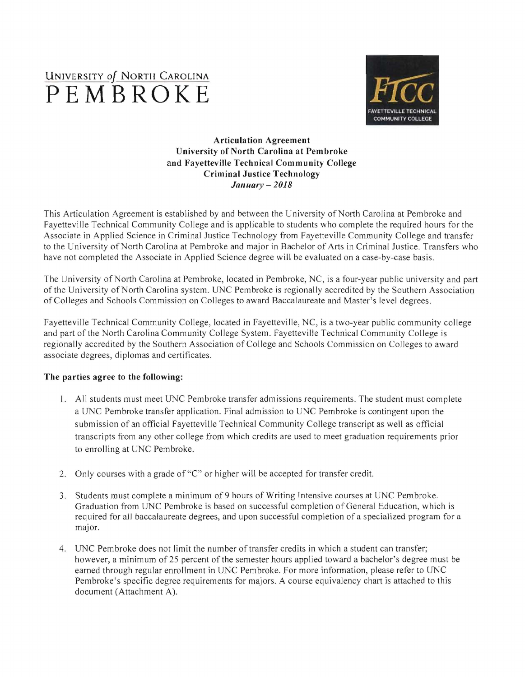# UNIVERSITY *Of* NORTII CAROLINA **PEMBROKE**



## Articulation Agreement University of North Carolina at Pembroke and Fayetteville Technical Community College Criminal Justice Technology *January* - *2018*

This Articulation Agreement is established by and between the University of North Carolina at Pembroke and Fayetteville Technical Community College and is applicable to students who complete the required hours for the Associate in Applied Science in Criminal Justice Technology from Fayetteville Community College and transfer to the University of North Carolina at Pembroke and major in Bachelor of Arts in Criminal Justice. Transfers who have not completed the Associate in Applied Science degree will be evaluated on a case-by-case basis.

The University of North Carolina at Pembroke, located in Pembroke, NC, is a four-year public university and part of the University of North Carolina system. UNC Pembroke is regionally accredited by the Southern Association of Colleges and Schools Commission on Colleges to award Baccalaureate and Master's level degrees.

Fayetteville Technical Community College, located in Fayetteville, NC, is a two-year public community college and part of the North Carolina Community College System. Fayetteville Technical Community College is regionally accredited by the Southern Association of College and Schools Commission on Colleges to award associate degrees, diplomas and certificates.

## The parties agree to the following:

- 1. All students must meet UNC Pembroke transfer admissions requirements. The student must complete a UNC Pembroke transfer application. Final admission to UNC Pembroke is contingent upon the subm ission of an official Fayetteville Technical Community College transcript as well as official transcripts from any other college from which credits are used to meet graduation reguirements prior to enrolling at UNC Pembroke.
- 2. Only courses with a grade of "C" or higher will be accepted for transfer credit.
- 3. Students must complete a minimum of9 hours of Writing Intensive courses at UNC Pembroke. Graduation from UNC Pembroke is based on successful completion of General Education, which is required for aJI baccalaureate degrees, and upon successful completion of a specialized program for a major.
- 4. UNC Pembroke does not limit the number of transfer credits in which a student can transfer; however, a minimum of 25 percent of the semester hours applied toward a bachelor's degree must be earned through regular enrollment in UNC Pembroke. For more information, please refer to UNC Pembroke's specific degree requirements for majors. A course equivalency chart is attached to this document (Attachment A).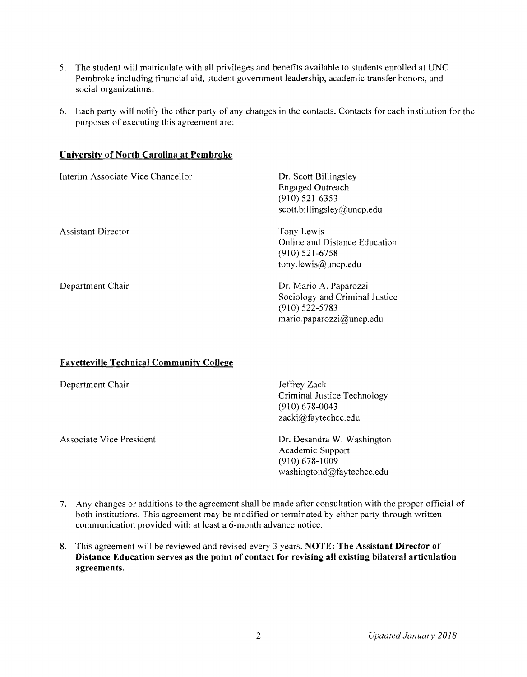- 5. The student will matriculate with all privileges and benefits available to students enrolled at UNC Pembroke including financial aid, student government leadership, academic transfer honors, and social organizations.
- 6. Each party will notify the other party of any changes in the contacts. Contacts for each institution for the purposes of executing this agreement are:

### Universitv of North Carolina at Pembroke

| Interim Associate Vice Chancellor | Dr. Scott Billingsley<br><b>Engaged Outreach</b><br>$(910)$ 521-6353<br>scott.billingsley@uncp.edu       |
|-----------------------------------|----------------------------------------------------------------------------------------------------------|
| <b>Assistant Director</b>         | Tony Lewis<br>Online and Distance Education<br>$(910)$ 521-6758<br>tony lewis@uncp.edu                   |
| Department Chair                  | Dr. Mario A. Paparozzi<br>Sociology and Criminal Justice<br>$(910)$ 522-5783<br>mario.paparozzi@uncp.edu |

## Fayetteville Technical Community College

| Department Chair         | Jeffrey Zack<br>Criminal Justice Technology<br>$(910)$ 678-0043<br>zackj@faytechcc.edu            |
|--------------------------|---------------------------------------------------------------------------------------------------|
| Associate Vice President | Dr. Desandra W. Washington<br>Academic Support<br>$(910) 678 - 1009$<br>washingtond@faytechcc.edu |

- 7. Any changes or additions to the agreement shall be made after consultation with the proper official of both institutions. This agreement may be modified or terminated by either party through written communication provided with at least a 6-month advance notice.
- 8. This agreement will be reviewed and revised every 3 years. **NOTE: The Assistant Director of** Distance Education serves as the point of contact for revising all existing bilateral articulation agreements.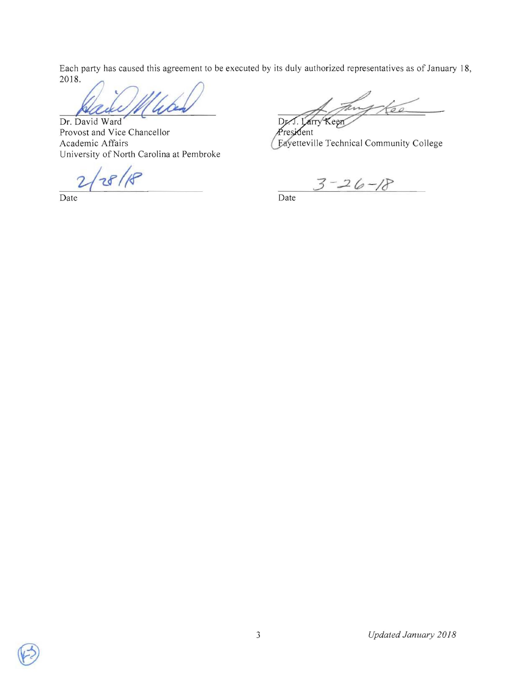Each party has caused this agreement to be executed by its duly authorized representatives as of January J 8, Each party has caused this agreement to be executed by<br>2018.

**Dr.** David Ward Provost and Vice Chancellor Academic Affairs University of North Carolina at Pembroke

 $28/8$ 

Date Date Date

Dr. Keen arry

resident Eayetteville Technical Community College

 $3 - 26 - 18$